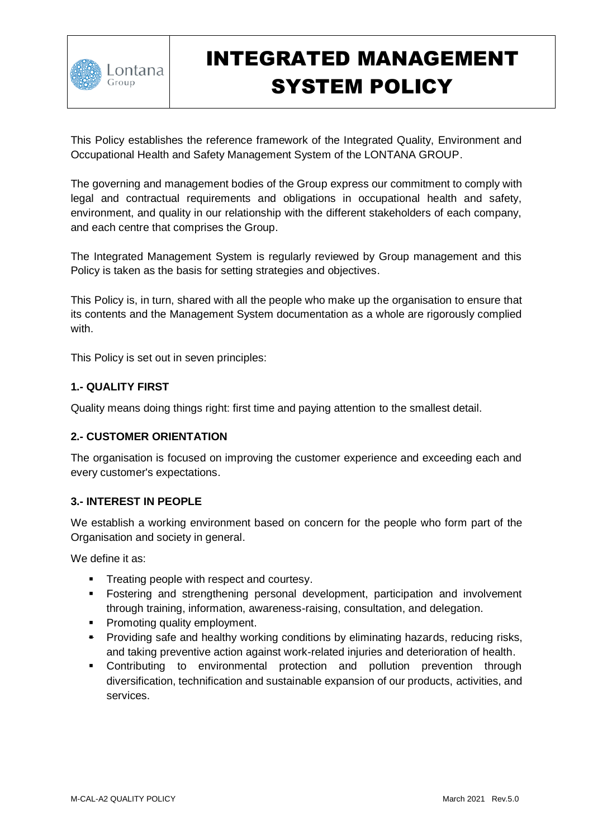

# INTEGRATED MANAGEMENT SYSTEM POLICY

This Policy establishes the reference framework of the Integrated Quality, Environment and Occupational Health and Safety Management System of the LONTANA GROUP.

The governing and management bodies of the Group express our commitment to comply with legal and contractual requirements and obligations in occupational health and safety, environment, and quality in our relationship with the different stakeholders of each company, and each centre that comprises the Group.

The Integrated Management System is regularly reviewed by Group management and this Policy is taken as the basis for setting strategies and objectives.

This Policy is, in turn, shared with all the people who make up the organisation to ensure that its contents and the Management System documentation as a whole are rigorously complied with.

This Policy is set out in seven principles:

## **1.- QUALITY FIRST**

Quality means doing things right: first time and paying attention to the smallest detail.

### **2.- CUSTOMER ORIENTATION**

The organisation is focused on improving the customer experience and exceeding each and every customer's expectations.

### **3.- INTEREST IN PEOPLE**

We establish a working environment based on concern for the people who form part of the Organisation and society in general.

We define it as:

- **Treating people with respect and courtesy.**
- **Fostering and strengthening personal development, participation and involvement** through training, information, awareness-raising, consultation, and delegation.
- **Promoting quality employment.**
- **Providing safe and healthy working conditions by eliminating hazards, reducing risks,** and taking preventive action against work-related injuries and deterioration of health.
- Contributing to environmental protection and pollution prevention through diversification, technification and sustainable expansion of our products, activities, and services.